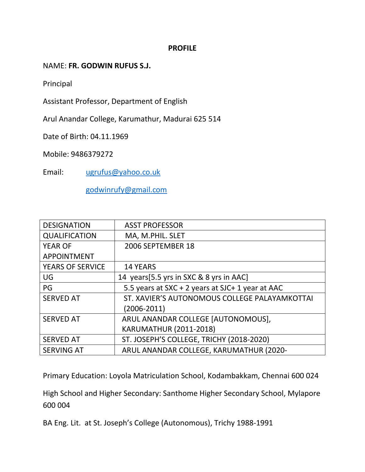#### **PROFILE**

NAME: **FR. GODWIN RUFUS S.J.**

Principal

Assistant Professor, Department of English

Arul Anandar College, Karumathur, Madurai 625 514

Date of Birth: 04.11.1969

Mobile: 9486379272

Email: [ugrufus@yahoo.co.uk](mailto:ugrufus@yahoo.co.uk)

[godwinrufy@gmail.com](mailto:godwinrufy@gmail.com)

| <b>DESIGNATION</b>      | <b>ASST PROFESSOR</b>                            |
|-------------------------|--------------------------------------------------|
| <b>QUALIFICATION</b>    | MA, M.PHIL. SLET                                 |
| <b>YEAR OF</b>          | 2006 SEPTEMBER 18                                |
| <b>APPOINTMENT</b>      |                                                  |
| <b>YEARS OF SERVICE</b> | <b>14 YEARS</b>                                  |
| UG                      | 14 years [5.5 yrs in SXC & 8 yrs in AAC]         |
| PG                      | 5.5 years at SXC + 2 years at SJC+ 1 year at AAC |
| <b>SERVED AT</b>        | ST. XAVIER'S AUTONOMOUS COLLEGE PALAYAMKOTTAI    |
|                         | $(2006 - 2011)$                                  |
| <b>SERVED AT</b>        | ARUL ANANDAR COLLEGE [AUTONOMOUS],               |
|                         | KARUMATHUR (2011-2018)                           |
| <b>SERVED AT</b>        | ST. JOSEPH'S COLLEGE, TRICHY (2018-2020)         |
| <b>SERVING AT</b>       | ARUL ANANDAR COLLEGE, KARUMATHUR (2020-          |

Primary Education: Loyola Matriculation School, Kodambakkam, Chennai 600 024

High School and Higher Secondary: Santhome Higher Secondary School, Mylapore 600 004

BA Eng. Lit. at St. Joseph's College (Autonomous), Trichy 1988-1991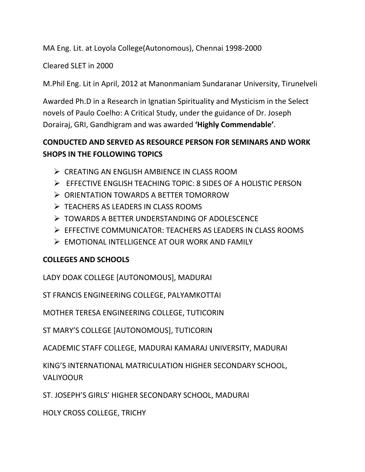MA Eng. Lit. at Loyola College(Autonomous), Chennai 1998-2000

Cleared SLET in 2000

M.Phil Eng. Lit in April, 2012 at Manonmaniam Sundaranar University, Tirunelveli

Awarded Ph.D in a Research in Ignatian Spirituality and Mysticism in the Select novels of Paulo Coelho: A Critical Study, under the guidance of Dr. Joseph Dorairaj, GRI, Gandhigram and was awarded **'Highly Commendable'**.

# **CONDUCTED AND SERVED AS RESOURCE PERSON FOR SEMINARS AND WORK SHOPS IN THE FOLLOWING TOPICS**

- CREATING AN ENGLISH AMBIENCE IN CLASS ROOM
- EFFECTIVE ENGLISH TEACHING TOPIC: 8 SIDES OF A HOLISTIC PERSON
- ORIENTATION TOWARDS A BETTER TOMORROW
- $\triangleright$  TEACHERS AS LEADERS IN CLASS ROOMS
- **EXECUTE:** TOWARDS A BETTER UNDERSTANDING OF ADOLESCENCE
- EFFECTIVE COMMUNICATOR: TEACHERS AS LEADERS IN CLASS ROOMS
- EMOTIONAL INTELLIGENCE AT OUR WORK AND FAMILY

# **COLLEGES AND SCHOOLS**

LADY DOAK COLLEGE [AUTONOMOUS], MADURAI

ST FRANCIS ENGINEERING COLLEGE, PALYAMKOTTAI

MOTHER TERESA ENGINEERING COLLEGE, TUTICORIN

ST MARY'S COLLEGE [AUTONOMOUS], TUTICORIN

ACADEMIC STAFF COLLEGE, MADURAI KAMARAJ UNIVERSITY, MADURAI

KING'S INTERNATIONAL MATRICULATION HIGHER SECONDARY SCHOOL, VALIYOOUR

ST. JOSEPH'S GIRLS' HIGHER SECONDARY SCHOOL, MADURAI

HOLY CROSS COLLEGE, TRICHY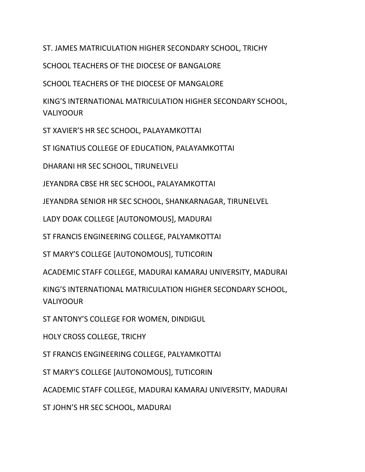ST. JAMES MATRICULATION HIGHER SECONDARY SCHOOL, TRICHY

SCHOOL TEACHERS OF THE DIOCESE OF BANGALORE

SCHOOL TEACHERS OF THE DIOCESE OF MANGALORE

KING'S INTERNATIONAL MATRICULATION HIGHER SECONDARY SCHOOL, VALIYOOUR

ST XAVIER'S HR SEC SCHOOL, PALAYAMKOTTAI

ST IGNATIUS COLLEGE OF EDUCATION, PALAYAMKOTTAI

DHARANI HR SEC SCHOOL, TIRUNELVELI

JEYANDRA CBSE HR SEC SCHOOL, PALAYAMKOTTAI

JEYANDRA SENIOR HR SEC SCHOOL, SHANKARNAGAR, TIRUNELVEL

LADY DOAK COLLEGE [AUTONOMOUS], MADURAI

ST FRANCIS ENGINEERING COLLEGE, PALYAMKOTTAI

ST MARY'S COLLEGE [AUTONOMOUS], TUTICORIN

ACADEMIC STAFF COLLEGE, MADURAI KAMARAJ UNIVERSITY, MADURAI

KING'S INTERNATIONAL MATRICULATION HIGHER SECONDARY SCHOOL, VALIYOOUR

ST ANTONY'S COLLEGE FOR WOMEN, DINDIGUL

HOLY CROSS COLLEGE, TRICHY

ST FRANCIS ENGINEERING COLLEGE, PALYAMKOTTAI

ST MARY'S COLLEGE [AUTONOMOUS], TUTICORIN

ACADEMIC STAFF COLLEGE, MADURAI KAMARAJ UNIVERSITY, MADURAI

ST JOHN'S HR SEC SCHOOL, MADURAI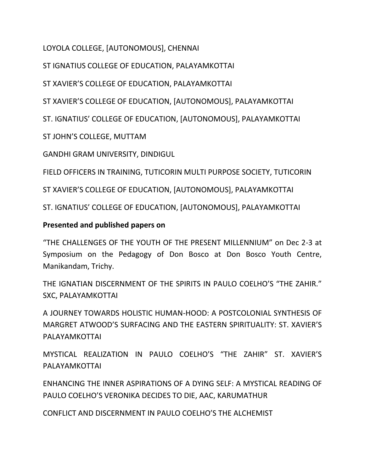LOYOLA COLLEGE, [AUTONOMOUS], CHENNAI

ST IGNATIUS COLLEGE OF EDUCATION, PALAYAMKOTTAI

ST XAVIER'S COLLEGE OF EDUCATION, PALAYAMKOTTAI

ST XAVIER'S COLLEGE OF EDUCATION, [AUTONOMOUS], PALAYAMKOTTAI

ST. IGNATIUS' COLLEGE OF EDUCATION, [AUTONOMOUS], PALAYAMKOTTAI

ST JOHN'S COLLEGE, MUTTAM

GANDHI GRAM UNIVERSITY, DINDIGUL

FIELD OFFICERS IN TRAINING, TUTICORIN MULTI PURPOSE SOCIETY, TUTICORIN

ST XAVIER'S COLLEGE OF EDUCATION, [AUTONOMOUS], PALAYAMKOTTAI

ST. IGNATIUS' COLLEGE OF EDUCATION, [AUTONOMOUS], PALAYAMKOTTAI

## **Presented and published papers on**

"THE CHALLENGES OF THE YOUTH OF THE PRESENT MILLENNIUM" on Dec 2-3 at Symposium on the Pedagogy of Don Bosco at Don Bosco Youth Centre, Manikandam, Trichy.

THE IGNATIAN DISCERNMENT OF THE SPIRITS IN PAULO COELHO'S "THE ZAHIR." SXC, PALAYAMKOTTAI

A JOURNEY TOWARDS HOLISTIC HUMAN-HOOD: A POSTCOLONIAL SYNTHESIS OF MARGRET ATWOOD'S SURFACING AND THE EASTERN SPIRITUALITY: ST. XAVIER'S PALAYAMKOTTAI

MYSTICAL REALIZATION IN PAULO COELHO'S "THE ZAHIR" ST. XAVIER'S PALAYAMKOTTAI

ENHANCING THE INNER ASPIRATIONS OF A DYING SELF: A MYSTICAL READING OF PAULO COELHO'S VERONIKA DECIDES TO DIE, AAC, KARUMATHUR

CONFLICT AND DISCERNMENT IN PAULO COELHO'S THE ALCHEMIST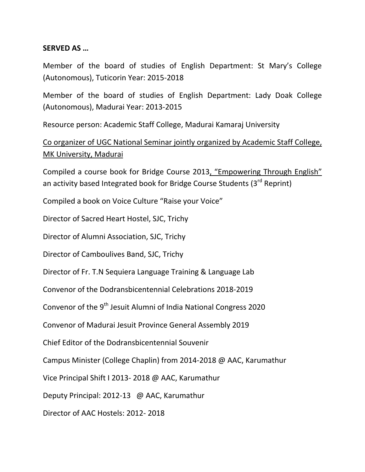#### **SERVED AS …**

Member of the board of studies of English Department: St Mary's College (Autonomous), Tuticorin Year: 2015-2018

Member of the board of studies of English Department: Lady Doak College (Autonomous), Madurai Year: 2013-2015

Resource person: Academic Staff College, Madurai Kamaraj University

Co organizer of UGC National Seminar jointly organized by Academic Staff College, MK University, Madurai

Compiled a course book for Bridge Course 2013, "Empowering Through English" an activity based Integrated book for Bridge Course Students (3<sup>rd</sup> Reprint)

Compiled a book on Voice Culture "Raise your Voice"

Director of Sacred Heart Hostel, SJC, Trichy

Director of Alumni Association, SJC, Trichy

Director of Camboulives Band, SJC, Trichy

Director of Fr. T.N Sequiera Language Training & Language Lab

Convenor of the Dodransbicentennial Celebrations 2018-2019

Convenor of the 9<sup>th</sup> Jesuit Alumni of India National Congress 2020

Convenor of Madurai Jesuit Province General Assembly 2019

Chief Editor of the Dodransbicentennial Souvenir

Campus Minister (College Chaplin) from 2014-2018 @ AAC, Karumathur

Vice Principal Shift I 2013- 2018 @ AAC, Karumathur

Deputy Principal: 2012-13 @ AAC, Karumathur

Director of AAC Hostels: 2012- 2018